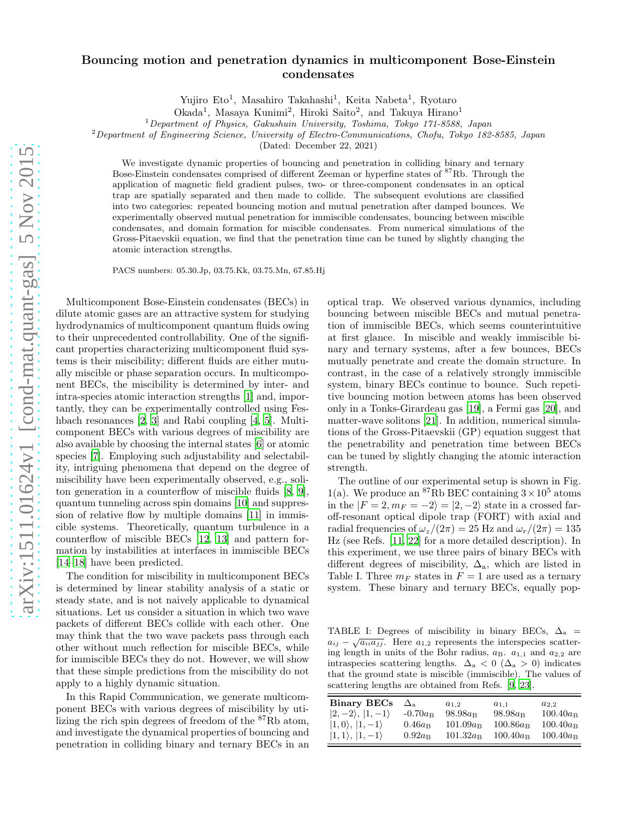## Bouncing motion and penetration dynamics in multicomponent Bose-Einstein condensates

Yujiro Eto<sup>1</sup>, Masahiro Takahashi<sup>1</sup>, Keita Nabeta<sup>1</sup>, Ryotaro

Okada<sup>1</sup>, Masaya Kunimi<sup>2</sup>, Hiroki Saito<sup>2</sup>, and Takuya Hirano<sup>1</sup>

<sup>1</sup>Department of Physics, Gakushuin University, Toshima, Tokyo 171-8588, Japan

<sup>2</sup>Department of Engineering Science, University of Electro-Communications, Chofu, Tokyo 182-8585, Japan

(Dated: December 22, 2021)

We investigate dynamic properties of bouncing and penetration in colliding binary and ternary Bose-Einstein condensates comprised of different Zeeman or hyperfine states of <sup>87</sup>Rb. Through the application of magnetic field gradient pulses, two- or three-component condensates in an optical trap are spatially separated and then made to collide. The subsequent evolutions are classified into two categories: repeated bouncing motion and mutual penetration after damped bounces. We experimentally observed mutual penetration for immiscible condensates, bouncing between miscible condensates, and domain formation for miscible condensates. From numerical simulations of the Gross-Pitaevskii equation, we find that the penetration time can be tuned by slightly changing the atomic interaction strengths.

PACS numbers: 05.30.Jp, 03.75.Kk, 03.75.Mn, 67.85.Hj

Multicomponent Bose-Einstein condensates (BECs) in dilute atomic gases are an attractive system for studying hydrodynamics of multicomponent quantum fluids owing to their unprecedented controllability. One of the significant properties characterizing multicomponent fluid systems is their miscibility; different fluids are either mutually miscible or phase separation occurs. In multicomponent BECs, the miscibility is determined by inter- and intra-species atomic interaction strengths [\[1\]](#page-3-0) and, importantly, they can be experimentally controlled using Fes-hbach resonances [\[2,](#page-3-1) [3\]](#page-3-2) and Rabi coupling [\[4,](#page-3-3) [5\]](#page-3-4). Multicomponent BECs with various degrees of miscibility are also available by choosing the internal states [\[6](#page-3-5)] or atomic species [\[7\]](#page-3-6). Employing such adjustability and selectability, intriguing phenomena that depend on the degree of miscibility have been experimentally observed, e.g., soliton generation in a counterflow of miscible fluids [\[8,](#page-3-7) [9\]](#page-3-8), quantum tunneling across spin domains [\[10](#page-3-9)] and suppression of relative flow by multiple domains [\[11\]](#page-3-10) in immiscible systems. Theoretically, quantum turbulence in a counterflow of miscible BECs [\[12](#page-3-11), [13\]](#page-4-0) and pattern formation by instabilities at interfaces in immiscible BECs [\[14](#page-4-1)[–18\]](#page-4-2) have been predicted.

The condition for miscibility in multicomponent BECs is determined by linear stability analysis of a static or steady state, and is not naively applicable to dynamical situations. Let us consider a situation in which two wave packets of different BECs collide with each other. One may think that the two wave packets pass through each other without much reflection for miscible BECs, while for immiscible BECs they do not. However, we will show that these simple predictions from the miscibility do not apply to a highly dynamic situation.

In this Rapid Communication, we generate multicomponent BECs with various degrees of miscibility by utilizing the rich spin degrees of freedom of the <sup>87</sup>Rb atom, and investigate the dynamical properties of bouncing and penetration in colliding binary and ternary BECs in an optical trap. We observed various dynamics, including bouncing between miscible BECs and mutual penetration of immiscible BECs, which seems counterintuitive at first glance. In miscible and weakly immiscible binary and ternary systems, after a few bounces, BECs mutually penetrate and create the domain structure. In contrast, in the case of a relatively strongly immiscible system, binary BECs continue to bounce. Such repetitive bouncing motion between atoms has been observed only in a Tonks-Girardeau gas [\[19\]](#page-4-3), a Fermi gas [\[20\]](#page-4-4), and matter-wave solitons [\[21](#page-4-5)]. In addition, numerical simulations of the Gross-Pitaevskii (GP) equation suggest that the penetrability and penetration time between BECs can be tuned by slightly changing the atomic interaction strength.

The outline of our experimental setup is shown in Fig. 1(a). We produce an <sup>87</sup>Rb BEC containing  $3 \times 10^5$  atoms in the  $|F = 2, m_F = -2\rangle = |2, -2\rangle$  state in a crossed faroff-resonant optical dipole trap (FORT) with axial and radial frequencies of  $\omega_z/(2\pi) = 25$  Hz and  $\omega_r/(2\pi) = 135$ Hz (see Refs. [\[11,](#page-3-10) [22\]](#page-4-6) for a more detailed description). In this experiment, we use three pairs of binary BECs with different degrees of miscibility,  $\Delta_{a}$ , which are listed in Table I. Three  $m_F$  states in  $F = 1$  are used as a ternary system. These binary and ternary BECs, equally pop-

TABLE I: Degrees of miscibility in binary BECs,  $\Delta_a$  =  $a_{ij} - \sqrt{a_{ii} a_{jj}}$ . Here  $a_{1,2}$  represents the interspecies scattering length in units of the Bohr radius,  $a_B$ .  $a_{1,1}$  and  $a_{2,2}$  are intraspecies scattering lengths.  $\Delta_a < 0$  ( $\Delta_a > 0$ ) indicates that the ground state is miscible (immiscible). The values of scattering lengths are obtained from Refs. [\[9,](#page-3-8) [23](#page-4-7)].

| <b>Binary BECs</b>           | $\Delta$ <sub>a</sub> | $a_{1,2}$         | $a_{1,1}$         | $a_{2,2}$         |
|------------------------------|-----------------------|-------------------|-------------------|-------------------|
| $ 2,-2\rangle,  1,-1\rangle$ | $-0.70a_B$            | $98.98a_B$        | $98.98a_B$        | $100.40a_B$       |
| $ 1,0\rangle,  1,-1\rangle$  | $0.46a_{\rm B}$       | $101.09a_{\rm B}$ | $100.86a_{\rm B}$ | $100.40a_{\rm B}$ |
| $ 1,1\rangle,  1,-1\rangle$  | $0.92a_{\rm B}$       | $101.32a_B$       | $100.40a_{\rm B}$ | $100.40a_{\rm B}$ |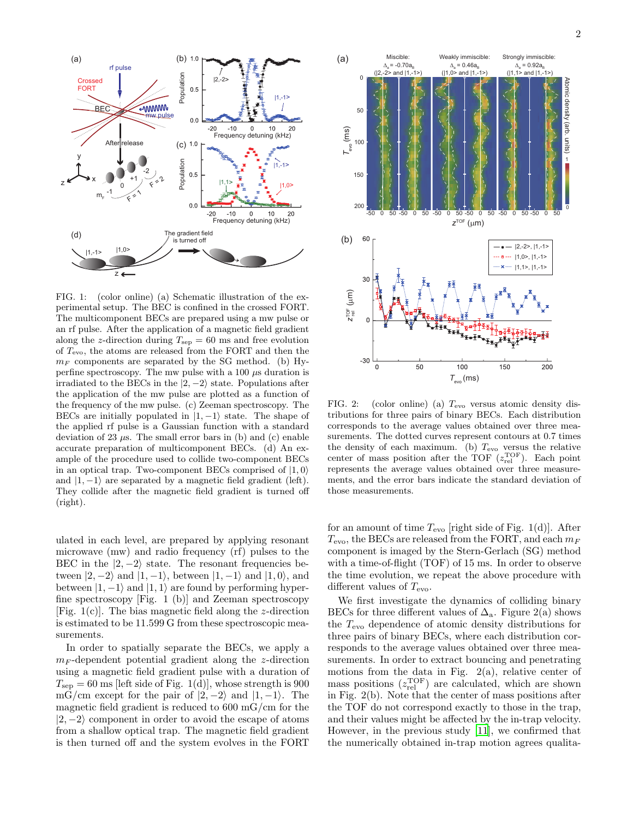

FIG. 1: (color online) (a) Schematic illustration of the experimental setup. The BEC is confined in the crossed FORT. The multicomponent BECs are prepared using a mw pulse or an rf pulse. After the application of a magnetic field gradient along the z-direction during  $T_{\text{sep}} = 60$  ms and free evolution of  $T_{\text{evo}}$ , the atoms are released from the FORT and then the  $m_F$  components are separated by the SG method. (b) Hyperfine spectroscopy. The mw pulse with a  $100 \mu s$  duration is irradiated to the BECs in the  $|2, -2\rangle$  state. Populations after the application of the mw pulse are plotted as a function of the frequency of the mw pulse. (c) Zeeman spectroscopy. The BECs are initially populated in  $|1, -1\rangle$  state. The shape of the applied rf pulse is a Gaussian function with a standard deviation of 23  $\mu$ s. The small error bars in (b) and (c) enable accurate preparation of multicomponent BECs. (d) An example of the procedure used to collide two-component BECs in an optical trap. Two-component BECs comprised of  $|1, 0\rangle$ and  $|1, -1\rangle$  are separated by a magnetic field gradient (left). They collide after the magnetic field gradient is turned off (right).

ulated in each level, are prepared by applying resonant microwave (mw) and radio frequency (rf) pulses to the BEC in the  $|2, -2\rangle$  state. The resonant frequencies between  $|2, -2\rangle$  and  $|1, -1\rangle$ , between  $|1, -1\rangle$  and  $|1, 0\rangle$ , and between  $|1, -1\rangle$  and  $|1, 1\rangle$  are found by performing hyperfine spectroscopy [Fig. 1 (b)] and Zeeman spectroscopy [Fig.  $1(c)$ ]. The bias magnetic field along the *z*-direction is estimated to be 11.599 G from these spectroscopic measurements.

In order to spatially separate the BECs, we apply a  $m_F$ -dependent potential gradient along the *z*-direction using a magnetic field gradient pulse with a duration of  $T_{\rm sep} = 60$  ms [left side of Fig. 1(d)], whose strength is 900 mG/cm except for the pair of  $|2, -2\rangle$  and  $|1, -1\rangle$ . The magnetic field gradient is reduced to 600 mG/cm for the  $|2, -2\rangle$  component in order to avoid the escape of atoms from a shallow optical trap. The magnetic field gradient is then turned off and the system evolves in the FORT



FIG. 2: (color online) (a) Tevo versus atomic density distributions for three pairs of binary BECs. Each distribution corresponds to the average values obtained over three measurements. The dotted curves represent contours at 0.7 times the density of each maximum. (b)  $T_{\text{evo}}$  versus the relative center of mass position after the TOF  $(z_{rel}^{\text{TOF}})$ . Each point represents the average values obtained over three measurements, and the error bars indicate the standard deviation of those measurements.

for an amount of time  $T_{\text{evo}}$  [right side of Fig. 1(d)]. After  $T_{\text{evo}}$ , the BECs are released from the FORT, and each  $m_F$ component is imaged by the Stern-Gerlach (SG) method with a time-of-flight (TOF) of 15 ms. In order to observe the time evolution, we repeat the above procedure with different values of  $T_{\text{evo}}$ .

We first investigate the dynamics of colliding binary BECs for three different values of  $\Delta_{a}$ . Figure 2(a) shows the  $T_{\text{evo}}$  dependence of atomic density distributions for three pairs of binary BECs, where each distribution corresponds to the average values obtained over three measurements. In order to extract bouncing and penetrating motions from the data in Fig.  $2(a)$ , relative center of mass positions  $(z_{rel}^{TOF})$  are calculated, which are shown in Fig. 2(b). Note that the center of mass positions after the TOF do not correspond exactly to those in the trap, and their values might be affected by the in-trap velocity. However, in the previous study [\[11](#page-3-10)], we confirmed that the numerically obtained in-trap motion agrees qualita-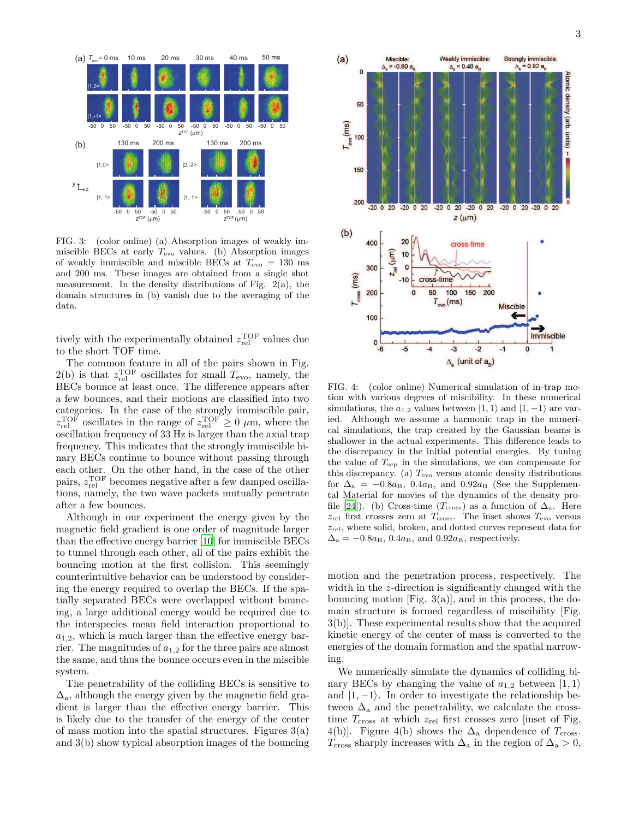

FIG. 3: (color online) (a) Absorption images of weakly immiscible BECs at early  $T_{\text{evo}}$  values. (b) Absorption images of weakly immiscible and miscible BECs at  $T_{\text{evo}} = 130 \text{ ms}$ and 200 ms. These images are obtained from a single shot measurement. In the density distributions of Fig. 2(a), the domain structures in (b) vanish due to the averaging of the data.

tively with the experimentally obtained  $z_{\text{rel}}^{\text{TOF}}$  values due to the short TOF time.

The common feature in all of the pairs shown in Fig.  $2(b)$  is that  $z_{rel}^{TOF}$  oscillates for small  $T_{evo}$ , namely, the BECs bounce at least once. The difference appears after a few bounces, and their motions are classified into two categories. In the case of the strongly immiscible pair,  $z_{\text{rel}}^{\text{TOF}}$  oscillates in the range of  $z_{\text{rel}}^{\text{TOF}} \geq 0 \mu \text{m}$ , where the oscillation frequency of 33 Hz is larger than the axial trap frequency. This indicates that the strongly immiscible binary BECs continue to bounce without passing through each other. On the other hand, in the case of the other pairs,  $z_{rel}^{TOF}$  becomes negative after a few damped oscillations, namely, the two wave packets mutually penetrate after a few bounces.

Although in our experiment the energy given by the magnetic field gradient is one order of magnitude larger than the effective energy barrier [\[10](#page-3-9)] for immiscible BECs to tunnel through each other, all of the pairs exhibit the bouncing motion at the first collision. This seemingly counterintuitive behavior can be understood by considering the energy required to overlap the BECs. If the spatially separated BECs were overlapped without bouncing, a large additional energy would be required due to the interspecies mean field interaction proportional to  $a_{1,2}$ , which is much larger than the effective energy barrier. The magnitudes of  $a_{1,2}$  for the three pairs are almost the same, and thus the bounce occurs even in the miscible system.

The penetrability of the colliding BECs is sensitive to  $\Delta_{\rm a}$ , although the energy given by the magnetic field gradient is larger than the effective energy barrier. This is likely due to the transfer of the energy of the center of mass motion into the spatial structures. Figures  $3(a)$ and 3(b) show typical absorption images of the bouncing



FIG. 4: (color online) Numerical simulation of in-trap motion with various degrees of miscibility. In these numerical simulations, the  $a_{1,2}$  values between  $|1, 1\rangle$  and  $|1, -1\rangle$  are varied. Although we assume a harmonic trap in the numerical simulations, the trap created by the Gaussian beams is shallower in the actual experiments. This difference leads to the discrepancy in the initial potential energies. By tuning the value of  $T_{\rm sep}$  in the simulations, we can compensate for this discrepancy. (a)  $T_{\text{evo}}$  versus atomic density distributions for  $\Delta_a = -0.8a_B$ ,  $0.4a_B$ , and  $0.92a_B$  (See the Supplemental Material for movies of the dynamics of the density pro-file [\[24](#page-4-8)]). (b) Cross-time ( $T_{\text{cross}}$ ) as a function of  $\Delta_{\text{a}}$ . Here  $z_{\text{rel}}$  first crosses zero at  $T_{\text{cross}}$ . The inset shows  $T_{\text{evo}}$  versus  $z_{rel}$ , where solid, broken, and dotted curves represent data for  $\Delta_{\rm a} = -0.8a_{\rm B}$ , 0.4a<sub>B</sub>, and 0.92a<sub>B</sub>, respectively.

motion and the penetration process, respectively. The width in the z-direction is significantly changed with the bouncing motion  $[Fig. 3(a)]$ , and in this process, the domain structure is formed regardless of miscibility [Fig. 3(b)]. These experimental results show that the acquired kinetic energy of the center of mass is converted to the energies of the domain formation and the spatial narrowing.

We numerically simulate the dynamics of colliding binary BECs by changing the value of  $a_{1,2}$  between  $|1,1\rangle$ and  $|1, -1\rangle$ . In order to investigate the relationship between  $\Delta_{a}$  and the penetrability, we calculate the crosstime  $T_{\text{cross}}$  at which  $z_{\text{rel}}$  first crosses zero [inset of Fig. 4(b)]. Figure 4(b) shows the  $\Delta$ <sub>a</sub> dependence of  $T_{\text{cross}}$ .  $T_{\text{cross}}$  sharply increases with  $\Delta_{\text{a}}$  in the region of  $\Delta_{\text{a}} > 0$ ,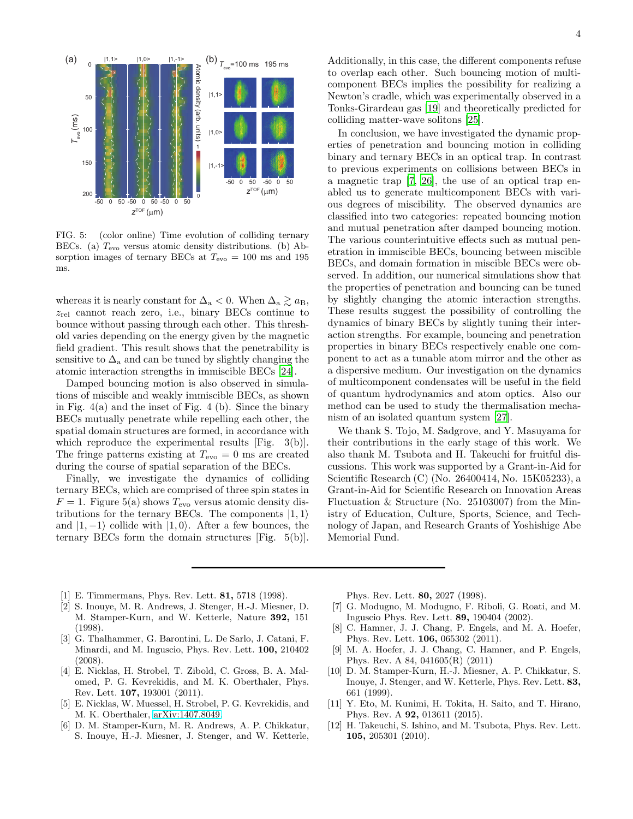

FIG. 5: (color online) Time evolution of colliding ternary BECs. (a)  $T_{\text{evo}}$  versus atomic density distributions. (b) Absorption images of ternary BECs at  $T_{\text{evo}} = 100 \text{ ms}$  and 195 ms.

whereas it is nearly constant for  $\Delta_{\rm a} < 0$ . When  $\Delta_{\rm a} \gtrsim a_{\rm B}$ ,  $z_{rel}$  cannot reach zero, i.e., binary BECs continue to bounce without passing through each other. This threshold varies depending on the energy given by the magnetic field gradient. This result shows that the penetrability is sensitive to  $\Delta_{a}$  and can be tuned by slightly changing the atomic interaction strengths in immiscible BECs [\[24\]](#page-4-8).

Damped bouncing motion is also observed in simulations of miscible and weakly immiscible BECs, as shown in Fig. 4(a) and the inset of Fig. 4 (b). Since the binary BECs mutually penetrate while repelling each other, the spatial domain structures are formed, in accordance with which reproduce the experimental results [Fig. 3(b)]. The fringe patterns existing at  $T_{\text{evo}} = 0$  ms are created during the course of spatial separation of the BECs.

Finally, we investigate the dynamics of colliding ternary BECs, which are comprised of three spin states in  $F = 1$ . Figure 5(a) shows  $T_{\text{evo}}$  versus atomic density distributions for the ternary BECs. The components  $|1, 1\rangle$ and  $|1, -1\rangle$  collide with  $|1, 0\rangle$ . After a few bounces, the ternary BECs form the domain structures [Fig. 5(b)].

Additionally, in this case, the different components refuse to overlap each other. Such bouncing motion of multicomponent BECs implies the possibility for realizing a Newton's cradle, which was experimentally observed in a Tonks-Girardeau gas [\[19\]](#page-4-3) and theoretically predicted for colliding matter-wave solitons [\[25\]](#page-4-9).

In conclusion, we have investigated the dynamic properties of penetration and bouncing motion in colliding binary and ternary BECs in an optical trap. In contrast to previous experiments on collisions between BECs in a magnetic trap [\[7,](#page-3-6) [26\]](#page-4-10), the use of an optical trap enabled us to generate multicomponent BECs with various degrees of miscibility. The observed dynamics are classified into two categories: repeated bouncing motion and mutual penetration after damped bouncing motion. The various counterintuitive effects such as mutual penetration in immiscible BECs, bouncing between miscible BECs, and domain formation in miscible BECs were observed. In addition, our numerical simulations show that the properties of penetration and bouncing can be tuned by slightly changing the atomic interaction strengths. These results suggest the possibility of controlling the dynamics of binary BECs by slightly tuning their interaction strengths. For example, bouncing and penetration properties in binary BECs respectively enable one component to act as a tunable atom mirror and the other as a dispersive medium. Our investigation on the dynamics of multicomponent condensates will be useful in the field of quantum hydrodynamics and atom optics. Also our method can be used to study the thermalisation mechanism of an isolated quantum system [\[27\]](#page-4-11).

We thank S. Tojo, M. Sadgrove, and Y. Masuyama for their contributions in the early stage of this work. We also thank M. Tsubota and H. Takeuchi for fruitful discussions. This work was supported by a Grant-in-Aid for Scientific Research (C) (No. 26400414, No. 15K05233), a Grant-in-Aid for Scientific Research on Innovation Areas Fluctuation & Structure (No. 25103007) from the Ministry of Education, Culture, Sports, Science, and Technology of Japan, and Research Grants of Yoshishige Abe Memorial Fund.

- <span id="page-3-0"></span>[1] E. Timmermans, Phys. Rev. Lett. 81, 5718 (1998).
- <span id="page-3-1"></span>[2] S. Inouye, M. R. Andrews, J. Stenger, H.-J. Miesner, D. M. Stamper-Kurn, and W. Ketterle, Nature 392, 151 (1998).
- <span id="page-3-2"></span>[3] G. Thalhammer, G. Barontini, L. De Sarlo, J. Catani, F. Minardi, and M. Inguscio, Phys. Rev. Lett. 100, 210402 (2008).
- <span id="page-3-3"></span>[4] E. Nicklas, H. Strobel, T. Zibold, C. Gross, B. A. Malomed, P. G. Kevrekidis, and M. K. Oberthaler, Phys. Rev. Lett. 107, 193001 (2011).
- <span id="page-3-4"></span>[5] E. Nicklas, W. Muessel, H. Strobel, P. G. Kevrekidis, and M. K. Oberthaler, [arXiv:1407.8049.](http://arxiv.org/abs/1407.8049)
- <span id="page-3-5"></span>[6] D. M. Stamper-Kurn, M. R. Andrews, A. P. Chikkatur, S. Inouye, H.-J. Miesner, J. Stenger, and W. Ketterle,

Phys. Rev. Lett. 80, 2027 (1998).

- <span id="page-3-6"></span>[7] G. Modugno, M. Modugno, F. Riboli, G. Roati, and M. Inguscio Phys. Rev. Lett. 89, 190404 (2002).
- <span id="page-3-7"></span>[8] C. Hamner, J. J. Chang, P. Engels, and M. A. Hoefer, Phys. Rev. Lett. 106, 065302 (2011).
- <span id="page-3-8"></span>[9] M. A. Hoefer, J. J. Chang, C. Hamner, and P. Engels, Phys. Rev. A 84, 041605(R) (2011)
- <span id="page-3-9"></span>[10] D. M. Stamper-Kurn, H.-J. Miesner, A. P. Chikkatur, S. Inouye, J. Stenger, and W. Ketterle, Phys. Rev. Lett. 83, 661 (1999).
- <span id="page-3-10"></span>[11] Y. Eto, M. Kunimi, H. Tokita, H. Saito, and T. Hirano, Phys. Rev. A 92, 013611 (2015).
- <span id="page-3-11"></span>[12] H. Takeuchi, S. Ishino, and M. Tsubota, Phys. Rev. Lett. 105, 205301 (2010).